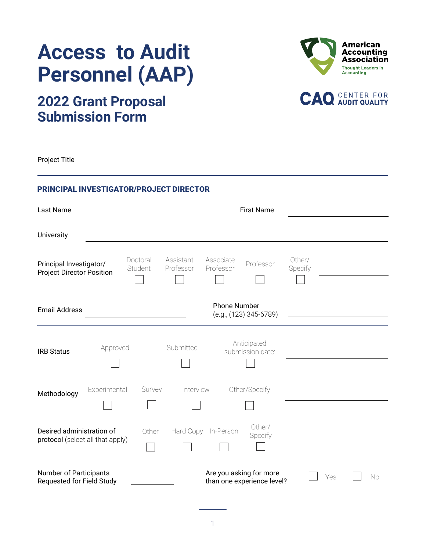





# **2022 Grant Proposal Submission Form**

Project Title

## PRINCIPAL INVESTIGATOR/PROJECT DIRECTOR

| Last Name                                                     |              |                     |                        |                        | <b>First Name</b>                                     |                   |     |    |
|---------------------------------------------------------------|--------------|---------------------|------------------------|------------------------|-------------------------------------------------------|-------------------|-----|----|
| University                                                    |              |                     |                        |                        |                                                       |                   |     |    |
| Principal Investigator/<br><b>Project Director Position</b>   |              | Doctoral<br>Student | Assistant<br>Professor | Associate<br>Professor | Professor                                             | Other/<br>Specify |     |    |
| <b>Email Address</b>                                          |              |                     |                        | <b>Phone Number</b>    | (e.g., (123) 345-6789)                                |                   |     |    |
| <b>IRB Status</b>                                             | Approved     |                     | Submitted              |                        | Anticipated<br>submission date:                       |                   |     |    |
| Methodology                                                   | Experimental | Survey              | Interview              |                        | Other/Specify                                         |                   |     |    |
| Desired administration of<br>protocol (select all that apply) |              | Other               | Hard Copy              | In-Person              | Other/<br>Specify                                     |                   |     |    |
| <b>Number of Participants</b><br>Requested for Field Study    |              |                     |                        |                        | Are you asking for more<br>than one experience level? |                   | Yes | No |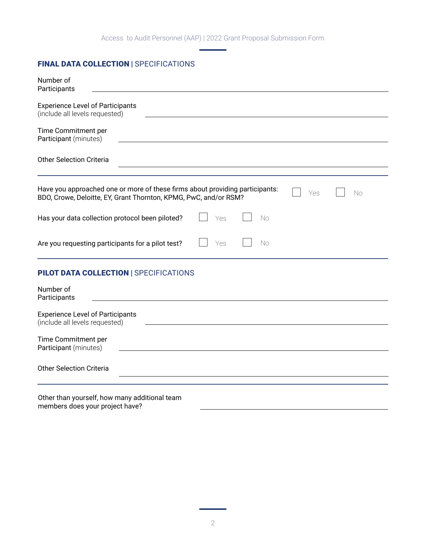Access to Audit Personnel (AAP) | 2022 Grant Proposal Submission Form

# FINAL DATA COLLECTION | SPECIFICATIONS

| Number of<br>Participants                                                                                                                                     |
|---------------------------------------------------------------------------------------------------------------------------------------------------------------|
|                                                                                                                                                               |
| <b>Experience Level of Participants</b><br>(include all levels requested)                                                                                     |
| Time Commitment per<br>Participant (minutes)                                                                                                                  |
| <b>Other Selection Criteria</b>                                                                                                                               |
| Have you approached one or more of these firms about providing participants:<br>Yes<br>No<br>BDO, Crowe, Deloitte, EY, Grant Thornton, KPMG, PwC, and/or RSM? |
| Has your data collection protocol been piloted?<br>Yes<br>No                                                                                                  |
| Are you requesting participants for a pilot test?<br>Yes<br>No                                                                                                |
| <b>PILOT DATA COLLECTION   SPECIFICATIONS</b>                                                                                                                 |
| Number of<br>Participants<br><u> 1989 - Johann Stoff, deutscher Stoffen und der Stoffen und der Stoffen und der Stoffen und der Stoffen und der</u>           |
| <b>Experience Level of Participants</b><br>(include all levels requested)                                                                                     |
| Time Commitment per<br>Participant (minutes)                                                                                                                  |
| <b>Other Selection Criteria</b>                                                                                                                               |
| Other than yourself, how many additional team                                                                                                                 |

members does your project have?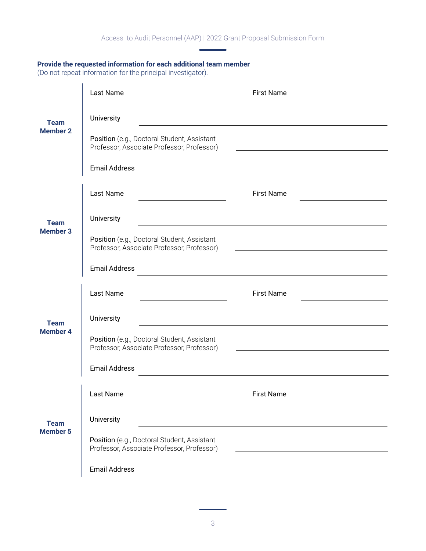#### **Provide the requested information for each additional team member**

(Do not repeat information for the principal investigator).

| <b>Team</b><br><b>Member 2</b> | Last Name                                                                                 | <b>First Name</b>                                                                                                     |
|--------------------------------|-------------------------------------------------------------------------------------------|-----------------------------------------------------------------------------------------------------------------------|
|                                | University                                                                                |                                                                                                                       |
|                                | Position (e.g., Doctoral Student, Assistant<br>Professor, Associate Professor, Professor) |                                                                                                                       |
|                                | <b>Email Address</b>                                                                      |                                                                                                                       |
| <b>Team</b><br><b>Member 3</b> | Last Name<br><u> 1980 - Johann Barbara, martxa al</u>                                     | <b>First Name</b>                                                                                                     |
|                                | University                                                                                |                                                                                                                       |
|                                | Position (e.g., Doctoral Student, Assistant<br>Professor, Associate Professor, Professor) |                                                                                                                       |
|                                | <b>Email Address</b>                                                                      | <u> 1989 - Johann Barbara, martxa alemaniar amerikan basar da da a shekara 1989 - Andrew Santan Barbara a shekara</u> |
| <b>Team</b><br><b>Member 4</b> | Last Name                                                                                 | <b>First Name</b>                                                                                                     |
|                                | University                                                                                |                                                                                                                       |
|                                | Position (e.g., Doctoral Student, Assistant<br>Professor, Associate Professor, Professor) |                                                                                                                       |
|                                | <b>Email Address</b>                                                                      |                                                                                                                       |
| <b>Team</b><br><b>Member 5</b> | Last Name                                                                                 | <b>First Name</b>                                                                                                     |
|                                | University                                                                                |                                                                                                                       |
|                                | Position (e.g., Doctoral Student, Assistant<br>Professor, Associate Professor, Professor) |                                                                                                                       |
|                                |                                                                                           |                                                                                                                       |